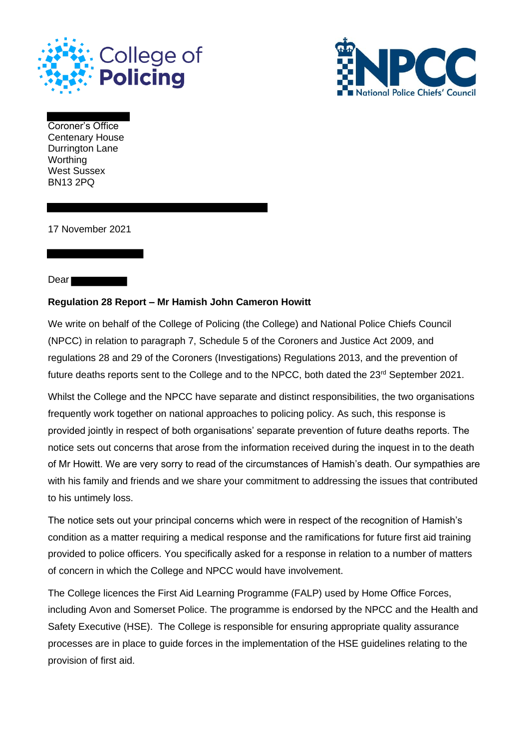



Coroner's Office Centenary House Durrington Lane **Worthing** West Sussex BN13 2PQ

17 November 2021

Dear

## **Regulation 28 Report – Mr Hamish John Cameron Howitt**

We write on behalf of the College of Policing (the College) and National Police Chiefs Council (NPCC) in relation to paragraph 7, Schedule 5 of the Coroners and Justice Act 2009, and regulations 28 and 29 of the Coroners (Investigations) Regulations 2013, and the prevention of future deaths reports sent to the College and to the NPCC, both dated the 23<sup>rd</sup> September 2021.

Whilst the College and the NPCC have separate and distinct responsibilities, the two organisations frequently work together on national approaches to policing policy. As such, this response is provided jointly in respect of both organisations' separate prevention of future deaths reports. The notice sets out concerns that arose from the information received during the inquest in to the death of Mr Howitt. We are very sorry to read of the circumstances of Hamish's death. Our sympathies are with his family and friends and we share your commitment to addressing the issues that contributed to his untimely loss.

The notice sets out your principal concerns which were in respect of the recognition of Hamish's condition as a matter requiring a medical response and the ramifications for future first aid training provided to police officers. You specifically asked for a response in relation to a number of matters of concern in which the College and NPCC would have involvement.

The College licences the First Aid Learning Programme (FALP) used by Home Office Forces, including Avon and Somerset Police. The programme is endorsed by the NPCC and the Health and Safety Executive (HSE). The College is responsible for ensuring appropriate quality assurance processes are in place to guide forces in the implementation of the HSE guidelines relating to the provision of first aid.